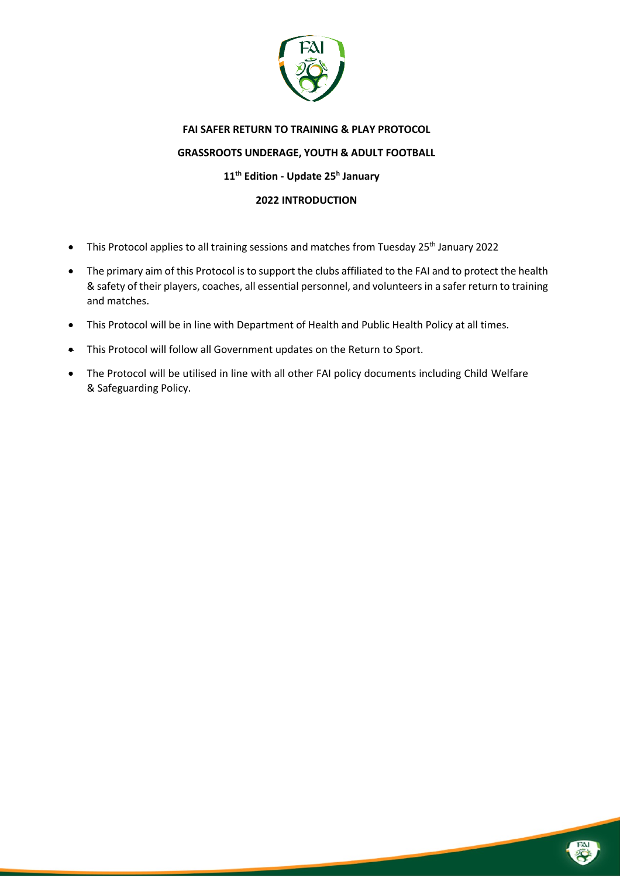

# **FAI SAFER RETURN TO TRAINING & PLAY PROTOCOL GRASSROOTS UNDERAGE, YOUTH & ADULT FOOTBALL 11th Edition - Update 25h January 2022 INTRODUCTION**

- This Protocol applies to all training sessions and matches from Tuesday 25<sup>th</sup> January 2022
- The primary aim of this Protocol is to support the clubs affiliated to the FAI and to protect the health & safety of their players, coaches, all essential personnel, and volunteers in a safer return to training and matches.
- This Protocol will be in line with Department of Health and Public Health Policy at all times.
- This Protocol will follow all Government updates on the Return to Sport.
- The Protocol will be utilised in line with all other FAI policy documents including Child Welfare & Safeguarding Policy.

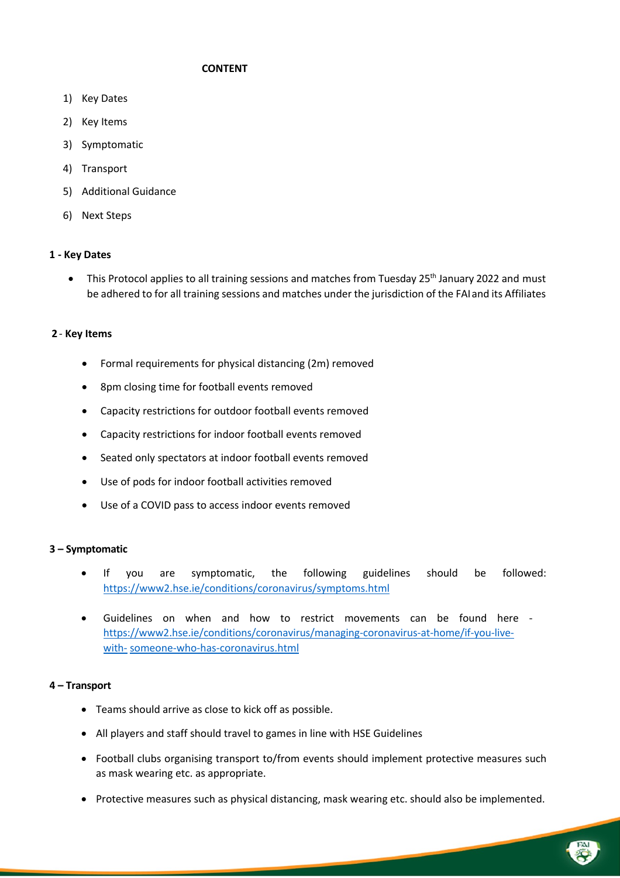## **CONTENT**

- 1) Key Dates
- 2) Key Items
- 3) Symptomatic
- 4) Transport
- 5) Additional Guidance
- 6) Next Steps

## **1 - Key Dates**

• This Protocol applies to all training sessions and matches from Tuesday 25<sup>th</sup> January 2022 and must be adhered to for all training sessions and matches under the jurisdiction of the FAI and its Affiliates

## **2** - **Key Items**

- Formal requirements for physical distancing (2m) removed
- 8pm closing time for football events removed
- Capacity restrictions for outdoor football events removed
- Capacity restrictions for indoor football events removed
- Seated only spectators at indoor football events removed
- Use of pods for indoor football activities removed
- Use of a COVID pass to access indoor events removed

#### **3 – Symptomatic**

- If you are symptomatic, the following guidelines should be followed: https://www2.hse.ie/conditions/coronavirus/symptoms.html
- Guidelines on when and how to restrict movements can be found here https://www2.hse.ie/conditions/coronavirus/managing-coronavirus-at-home/if-you-livewith- someone-who-has-coronavirus.html

#### **4 – Transport**

- Teams should arrive as close to kick off as possible.
- All players and staff should travel to games in line with HSE Guidelines
- Football clubs organising transport to/from events should implement protective measures such as mask wearing etc. as appropriate.
- Protective measures such as physical distancing, mask wearing etc. should also be implemented.